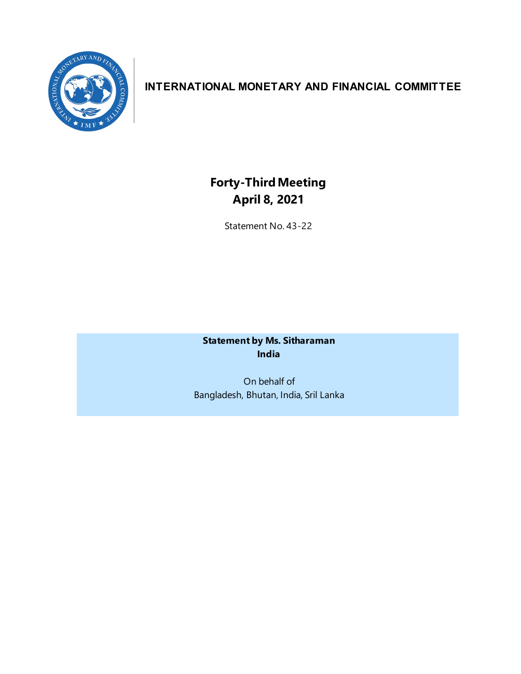

# **INTERNATIONAL MONETARY AND FINANCIAL COMMITTEE**

# **Forty-ThirdMeeting April 8, 2021**

Statement No. 43-22

**Statement by Ms. Sitharaman India**

On behalf of Bangladesh, Bhutan, India, Sril Lanka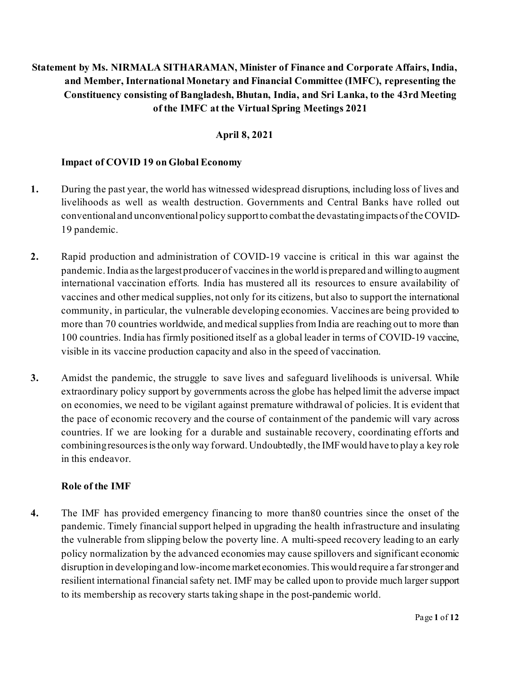# **Statement by Ms. NIRMALA SITHARAMAN, Minister of Finance and Corporate Affairs, India, and Member, International Monetary and Financial Committee (IMFC), representing the Constituency consisting of Bangladesh, Bhutan, India, and Sri Lanka, to the 43rd Meeting of the IMFC at the Virtual Spring Meetings 2021**

#### **April 8, 2021**

#### **Impact of COVID 19 on Global Economy**

- **1.** During the past year, the world has witnessed widespread disruptions, including loss of lives and livelihoods as well as wealth destruction. Governments and Central Banks have rolled out conventional and unconventional policy support to combatthe devastating impacts of the COVID-19 pandemic.
- **2.** Rapid production and administration of COVID-19 vaccine is critical in this war against the pandemic.India asthe largest producer of vaccinesin the world is prepared and willingto augment international vaccination efforts*.* India has mustered all its resources to ensure availability of vaccines and other medical supplies, not only for its citizens, but also to support the international community, in particular, the vulnerable developing economies. Vaccines are being provided to more than 70 countries worldwide, and medical supplies from India are reaching out to more than 100 countries. India has firmly positioned itself as a global leader in terms of COVID-19 vaccine, visible in its vaccine production capacity and also in the speed of vaccination.
- **3.** Amidst the pandemic, the struggle to save lives and safeguard livelihoods is universal. While extraordinary policy support by governments across the globe has helped limit the adverse impact on economies, we need to be vigilant against premature withdrawal of policies. It is evident that the pace of economic recovery and the course of containment of the pandemic will vary across countries. If we are looking for a durable and sustainable recovery, coordinating efforts and combiningresources is the only way forward. Undoubtedly, the IMF would have to play a key role in this endeavor.

#### **Role of the IMF**

**4.** The IMF has provided emergency financing to more than80 countries since the onset of the pandemic. Timely financial support helped in upgrading the health infrastructure and insulating the vulnerable from slipping below the poverty line. A multi-speed recovery leading to an early policy normalization by the advanced economies may cause spillovers and significant economic disruption in developing and low-income market economies. This would require a far stronger and resilient international financial safety net. IMF may be called upon to provide much larger support to its membership as recovery starts taking shape in the post-pandemic world.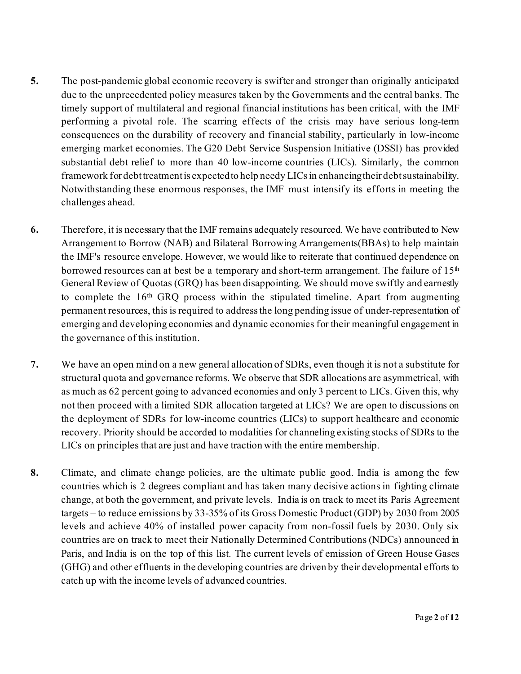- **5.** The post-pandemic global economic recovery is swifter and stronger than originally anticipated due to the unprecedented policy measures taken by the Governments and the central banks. The timely support of multilateral and regional financial institutions has been critical, with the IMF performing a pivotal role. The scarring effects of the crisis may have serious long-term consequences on the durability of recovery and financial stability, particularly in low-income emerging market economies. The G20 Debt Service Suspension Initiative (DSSI) has provided substantial debt relief to more than 40 low-income countries (LICs). Similarly, the common framework for debt treatment is expected to help needy LICs in enhancing their debt sustainability. Notwithstanding these enormous responses, the IMF must intensify its efforts in meeting the challenges ahead.
- **6.** Therefore, it is necessary that the IMF remains adequately resourced. We have contributed to New Arrangement to Borrow (NAB) and Bilateral Borrowing Arrangements(BBAs) to help maintain the IMF's resource envelope. However, we would like to reiterate that continued dependence on borrowed resources can at best be a temporary and short-term arrangement. The failure of  $15<sup>th</sup>$ General Review of Quotas (GRQ) has been disappointing. We should move swiftly and earnestly to complete the  $16<sup>th</sup>$  GRQ process within the stipulated timeline. Apart from augmenting permanent resources, this is required to address the long pending issue of under-representation of emerging and developing economies and dynamic economies for their meaningful engagement in the governance of this institution.
- **7.** We have an open mind on a new general allocation of SDRs, even though it is not a substitute for structural quota and governance reforms. We observe that SDR allocations are asymmetrical, with as much as 62 percent going to advanced economies and only 3 percent to LICs. Given this, why not then proceed with a limited SDR allocation targeted at LICs? We are open to discussions on the deployment of SDRs for low-income countries (LICs) to support healthcare and economic recovery. Priority should be accorded to modalities for channeling existing stocks of SDRs to the LICs on principles that are just and have traction with the entire membership.
- **8.** Climate, and climate change policies, are the ultimate public good. India is among the few countries which is 2 degrees compliant and has taken many decisive actions in fighting climate change, at both the government, and private levels. India is on track to meet its Paris Agreement targets – to reduce emissions by 33-35% of its Gross Domestic Product (GDP) by 2030 from 2005 levels and achieve 40% of installed power capacity from non-fossil fuels by 2030. Only six countries are on track to meet their Nationally Determined Contributions (NDCs) announced in Paris, and India is on the top of this list. The current levels of emission of Green House Gases (GHG) and other effluents in the developing countries are driven by their developmental efforts to catch up with the income levels of advanced countries.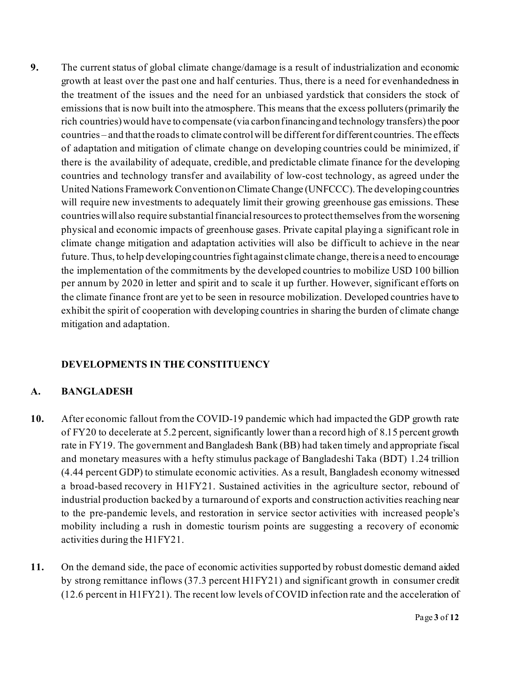**9.** The current status of global climate change/damage is a result of industrialization and economic growth at least over the past one and half centuries. Thus, there is a need for evenhandedness in the treatment of the issues and the need for an unbiased yardstick that considers the stock of emissions that is now built into the atmosphere.This means that the excess polluters (primarily the rich countries) would have to compensate (via carbon financing and technology transfers) the poor countries – and that the roads to climate control will be different for different countries. The effects of adaptation and mitigation of climate change on developing countries could be minimized, if there is the availability of adequate, credible, and predictable climate finance for the developing countries and technology transfer and availability of low-cost technology, as agreed under the United Nations Framework Convention on Climate Change (UNFCCC). The developing countries will require new investments to adequately limit their growing greenhouse gas emissions. These countries will also require substantial financial resources to protect themselves from the worsening physical and economic impacts of greenhouse gases. Private capital playing a significant role in climate change mitigation and adaptation activities will also be difficult to achieve in the near future. Thus, to help developing countries fight against climate change, there is a need to encourage the implementation of the commitments by the developed countries to mobilize USD 100 billion per annum by 2020 in letter and spirit and to scale it up further. However, significant efforts on the climate finance front are yet to be seen in resource mobilization. Developed countries have to exhibit the spirit of cooperation with developing countries in sharing the burden of climate change mitigation and adaptation.

# **DEVELOPMENTS IN THE CONSTITUENCY**

# **A. BANGLADESH**

- **10.** After economic fallout from the COVID-19 pandemic which had impacted the GDP growth rate of FY20 to decelerate at 5.2 percent, significantly lower than a record high of 8.15 percent growth rate in FY19. The government and Bangladesh Bank (BB) had taken timely and appropriate fiscal and monetary measures with a hefty stimulus package of Bangladeshi Taka (BDT) 1.24 trillion (4.44 percent GDP) to stimulate economic activities. As a result, Bangladesh economy witnessed a broad-based recovery in H1FY21. Sustained activities in the agriculture sector, rebound of industrial production backed by a turnaround of exports and construction activities reaching near to the pre-pandemic levels, and restoration in service sector activities with increased people's mobility including a rush in domestic tourism points are suggesting a recovery of economic activities during the H1FY21.
- **11.** On the demand side, the pace of economic activities supported by robust domestic demand aided by strong remittance inflows (37.3 percent H1FY21) and significant growth in consumer credit (12.6 percent in H1FY21). The recent low levels of COVID infection rate and the acceleration of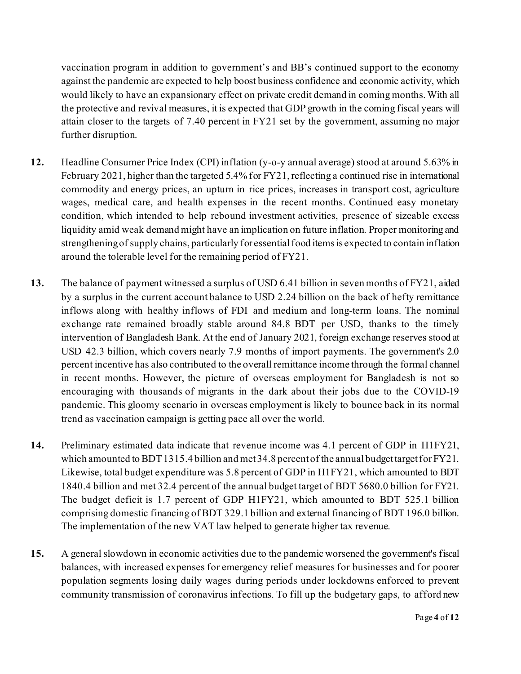vaccination program in addition to government's and BB's continued support to the economy against the pandemic are expected to help boost business confidence and economic activity, which would likely to have an expansionary effect on private credit demand in coming months. With all the protective and revival measures, it is expected that GDP growth in the coming fiscal years will attain closer to the targets of 7.40 percent in FY21 set by the government, assuming no major further disruption.

- **12.** Headline Consumer Price Index (CPI) inflation (y-o-y annual average) stood at around 5.63% in February 2021, higher than the targeted 5.4% for FY21, reflecting a continued rise in international commodity and energy prices, an upturn in rice prices, increases in transport cost, agriculture wages, medical care, and health expenses in the recent months. Continued easy monetary condition, which intended to help rebound investment activities, presence of sizeable excess liquidity amid weak demand might have an implication on future inflation. Proper monitoring and strengthening of supply chains, particularly for essential food items is expected to contain inflation around the tolerable level for the remaining period of FY21.
- **13.** The balance of payment witnessed a surplus of USD 6.41 billion in seven months of FY21, aided by a surplus in the current account balance to USD 2.24 billion on the back of hefty remittance inflows along with healthy inflows of FDI and medium and long-term loans. The nominal exchange rate remained broadly stable around 84.8 BDT per USD, thanks to the timely intervention of Bangladesh Bank. At the end of January 2021, foreign exchange reserves stood at USD 42.3 billion, which covers nearly 7.9 months of import payments. The government's 2.0 percent incentive has also contributed to the overall remittance income through the formal channel in recent months. However, the picture of overseas employment for Bangladesh is not so encouraging with thousands of migrants in the dark about their jobs due to the COVID-19 pandemic. This gloomy scenario in overseas employment is likely to bounce back in its normal trend as vaccination campaign is getting pace all over the world.
- **14.** Preliminary estimated data indicate that revenue income was 4.1 percent of GDP in H1FY21, which amounted to BDT 1315.4 billion and met 34.8 percent of the annual budget target for FY21. Likewise, total budget expenditure was 5.8 percent of GDP in H1FY21, which amounted to BDT 1840.4 billion and met 32.4 percent of the annual budget target of BDT 5680.0 billion for FY21. The budget deficit is 1.7 percent of GDP H1FY21, which amounted to BDT 525.1 billion comprising domestic financing of BDT 329.1 billion and external financing of BDT 196.0 billion. The implementation of the new VAT law helped to generate higher tax revenue.
- **15.** A general slowdown in economic activities due to the pandemic worsened the government's fiscal balances, with increased expenses for emergency relief measures for businesses and for poorer population segments losing daily wages during periods under lockdowns enforced to prevent community transmission of coronavirus infections. To fill up the budgetary gaps, to afford new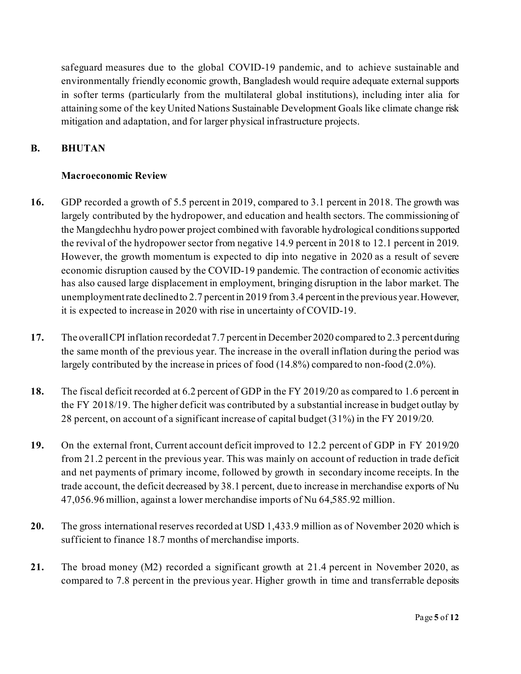safeguard measures due to the global COVID-19 pandemic, and to achieve sustainable and environmentally friendly economic growth, Bangladesh would require adequate external supports in softer terms (particularly from the multilateral global institutions), including inter alia for attaining some of the key United Nations Sustainable Development Goals like climate change risk mitigation and adaptation, and for larger physical infrastructure projects.

#### **B. BHUTAN**

#### **Macroeconomic Review**

- **16.** GDP recorded a growth of 5.5 percent in 2019, compared to 3.1 percent in 2018. The growth was largely contributed by the hydropower, and education and health sectors. The commissioning of the Mangdechhu hydro power project combined with favorable hydrological conditions supported the revival of the hydropower sector from negative 14.9 percent in 2018 to 12.1 percent in 2019. However, the growth momentum is expected to dip into negative in 2020 as a result of severe economic disruption caused by the COVID-19 pandemic. The contraction of economic activities has also caused large displacement in employment, bringing disruption in the labor market. The unemployment rate declined to 2.7 percent in 2019 from 3.4 percent in the previous year. However, it is expected to increase in 2020 with rise in uncertainty of COVID-19.
- **17.** The overall CPI inflation recorded at 7.7 percent in December 2020 compared to 2.3 percent during the same month of the previous year. The increase in the overall inflation during the period was largely contributed by the increase in prices of food (14.8%) compared to non-food (2.0%).
- **18.** The fiscal deficit recorded at 6.2 percent of GDP in the FY 2019/20 as compared to 1.6 percent in the FY 2018/19. The higher deficit was contributed by a substantial increase in budget outlay by 28 percent, on account of a significant increase of capital budget (31%) in the FY 2019/20.
- **19.** On the external front, Current account deficit improved to 12.2 percent of GDP in FY 2019/20 from 21.2 percent in the previous year. This was mainly on account of reduction in trade deficit and net payments of primary income, followed by growth in secondary income receipts. In the trade account, the deficit decreased by 38.1 percent, due to increase in merchandise exports of Nu 47,056.96 million, against a lower merchandise imports of Nu 64,585.92 million.
- **20.** The gross international reserves recorded at USD 1,433.9 million as of November 2020 which is sufficient to finance 18.7 months of merchandise imports.
- **21.** The broad money (M2) recorded a significant growth at 21.4 percent in November 2020, as compared to 7.8 percent in the previous year. Higher growth in time and transferrable deposits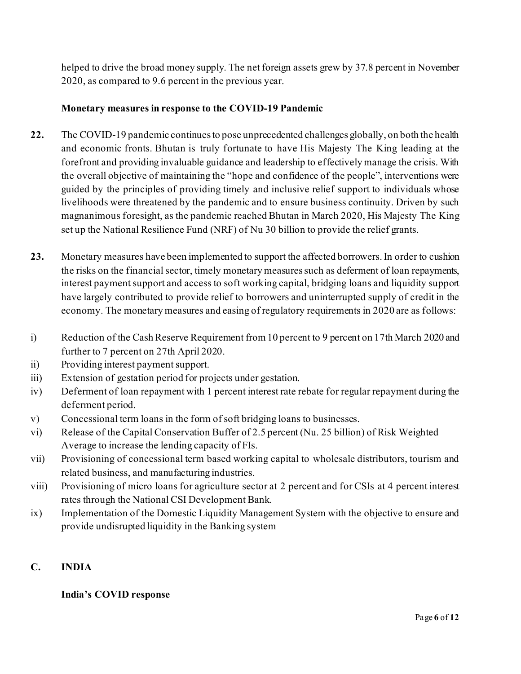helped to drive the broad money supply. The net foreign assets grew by 37.8 percent in November 2020, as compared to 9.6 percent in the previous year.

#### **Monetary measures in response to the COVID-19 Pandemic**

- **22.** The COVID-19 pandemic continues to pose unprecedented challenges globally, on both the health and economic fronts. Bhutan is truly fortunate to have His Majesty The King leading at the forefront and providing invaluable guidance and leadership to effectively manage the crisis. With the overall objective of maintaining the "hope and confidence of the people", interventions were guided by the principles of providing timely and inclusive relief support to individuals whose livelihoods were threatened by the pandemic and to ensure business continuity. Driven by such magnanimous foresight, as the pandemic reached Bhutan in March 2020, His Majesty The King set up the National Resilience Fund (NRF) of Nu 30 billion to provide the relief grants.
- **23.** Monetary measures have been implemented to support the affected borrowers. In order to cushion the risks on the financial sector, timely monetary measures such as deferment of loan repayments, interest payment support and access to soft working capital, bridging loans and liquidity support have largely contributed to provide relief to borrowers and uninterrupted supply of credit in the economy. The monetary measures and easing of regulatory requirements in 2020 are as follows:
- i) Reduction of the Cash Reserve Requirement from 10 percent to 9 percent on 17th March 2020 and further to 7 percent on 27th April 2020.
- ii) Providing interest payment support.
- iii) Extension of gestation period for projects under gestation.
- iv) Deferment of loan repayment with 1 percent interest rate rebate for regular repayment during the deferment period.
- v) Concessional term loans in the form of soft bridging loans to businesses.
- vi) Release of the Capital Conservation Buffer of 2.5 percent (Nu. 25 billion) of Risk Weighted Average to increase the lending capacity of FIs.
- vii) Provisioning of concessional term based working capital to wholesale distributors, tourism and related business, and manufacturing industries.
- viii) Provisioning of micro loans for agriculture sector at 2 percent and for CSIs at 4 percent interest rates through the National CSI Development Bank.
- ix) Implementation of the Domestic Liquidity Management System with the objective to ensure and provide undisrupted liquidity in the Banking system

# **C. INDIA**

#### **India's COVID response**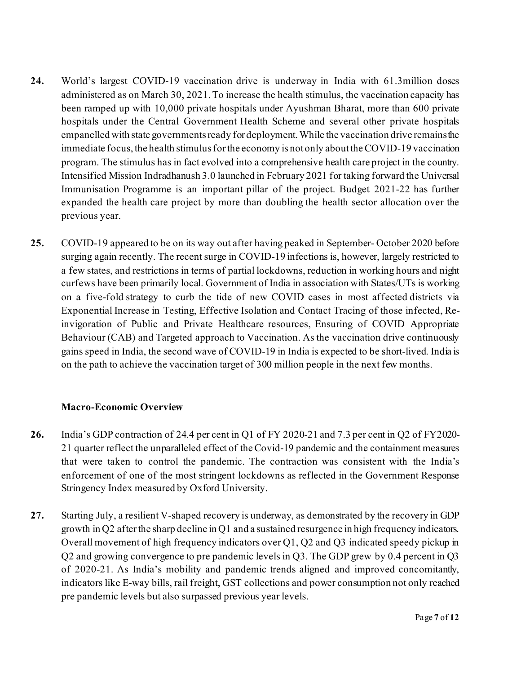- **24.** World's largest COVID-19 vaccination drive is underway in India with 61.3million doses administered as on March 30, 2021. To increase the health stimulus, the vaccination capacity has been ramped up with 10,000 private hospitals under Ayushman Bharat, more than 600 private hospitals under the Central Government Health Scheme and several other private hospitals empanelled with state governments ready for deployment. While the vaccination drive remains the immediate focus, the health stimulus for the economy is not only about the COVID-19 vaccination program. The stimulus has in fact evolved into a comprehensive health care project in the country. Intensified Mission Indradhanush 3.0 launched in February 2021 for taking forward the Universal Immunisation Programme is an important pillar of the project. Budget 2021-22 has further expanded the health care project by more than doubling the health sector allocation over the previous year.
- **25.** COVID-19 appeared to be on its way out after having peaked in September- October 2020 before surging again recently. The recent surge in COVID-19 infections is, however, largely restricted to a few states, and restrictions in terms of partial lockdowns, reduction in working hours and night curfews have been primarily local. Government of India in association with States/UTs is working on a five-fold strategy to curb the tide of new COVID cases in most affected districts via Exponential Increase in Testing, Effective Isolation and Contact Tracing of those infected, Reinvigoration of Public and Private Healthcare resources, Ensuring of COVID Appropriate Behaviour (CAB) and Targeted approach to Vaccination. As the vaccination drive continuously gains speed in India, the second wave of COVID-19 in India is expected to be short-lived. India is on the path to achieve the vaccination target of 300 million people in the next few months.

#### **Macro-Economic Overview**

- **26.** India's GDP contraction of 24.4 per cent in Q1 of FY 2020-21 and 7.3 per cent in Q2 of FY2020- 21 quarter reflect the unparalleled effect of the Covid-19 pandemic and the containment measures that were taken to control the pandemic. The contraction was consistent with the India's enforcement of one of the most stringent lockdowns as reflected in the Government Response Stringency Index measured by Oxford University.
- **27.** Starting July, a resilient V-shaped recovery is underway, as demonstrated by the recovery in GDP growth in Q2 after the sharp decline in Q1 and a sustained resurgence in high frequency indicators. Overall movement of high frequency indicators over Q1, Q2 and Q3 indicated speedy pickup in Q2 and growing convergence to pre pandemic levels in Q3. The GDP grew by 0.4 percent in Q3 of 2020-21. As India's mobility and pandemic trends aligned and improved concomitantly, indicators like E-way bills, rail freight, GST collections and power consumption not only reached pre pandemic levels but also surpassed previous year levels.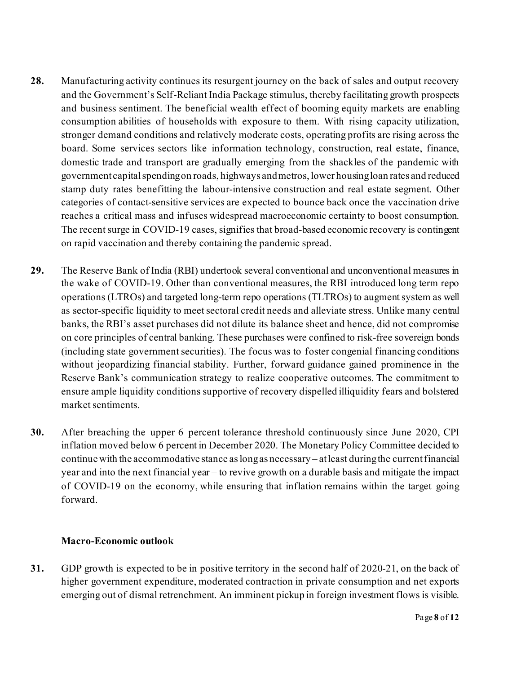- **28.** Manufacturing activity continues its resurgent journey on the back of sales and output recovery and the Government's Self-Reliant India Package stimulus, thereby facilitating growth prospects and business sentiment. The beneficial wealth effect of booming equity markets are enabling consumption abilities of households with exposure to them. With rising capacity utilization, stronger demand conditions and relatively moderate costs, operating profits are rising across the board. Some services sectors like information technology, construction, real estate, finance, domestic trade and transport are gradually emerging from the shackles of the pandemic with government capital spending on roads, highways and metros, lower housing loan rates and reduced stamp duty rates benefitting the labour-intensive construction and real estate segment. Other categories of contact-sensitive services are expected to bounce back once the vaccination drive reaches a critical mass and infuses widespread macroeconomic certainty to boost consumption. The recent surge in COVID-19 cases, signifies that broad-based economic recovery is contingent on rapid vaccination and thereby containing the pandemic spread.
- **29.** The Reserve Bank of India (RBI) undertook several conventional and unconventional measures in the wake of COVID-19. Other than conventional measures, the RBI introduced long term repo operations (LTROs) and targeted long-term repo operations (TLTROs) to augment system as well as sector-specific liquidity to meet sectoral credit needs and alleviate stress. Unlike many central banks, the RBI's asset purchases did not dilute its balance sheet and hence, did not compromise on core principles of central banking. These purchases were confined to risk-free sovereign bonds (including state government securities). The focus was to foster congenial financing conditions without jeopardizing financial stability. Further, forward guidance gained prominence in the Reserve Bank's communication strategy to realize cooperative outcomes. The commitment to ensure ample liquidity conditions supportive of recovery dispelled illiquidity fears and bolstered market sentiments.
- **30.** After breaching the upper 6 percent tolerance threshold continuously since June 2020, CPI inflation moved below 6 percent in December 2020. The Monetary Policy Committee decided to continue with the accommodative stance as long as necessary – at least during the current financial year and into the next financial year – to revive growth on a durable basis and mitigate the impact of COVID-19 on the economy, while ensuring that inflation remains within the target going forward.

#### **Macro-Economic outlook**

**31.** GDP growth is expected to be in positive territory in the second half of 2020-21, on the back of higher government expenditure, moderated contraction in private consumption and net exports emerging out of dismal retrenchment. An imminent pickup in foreign investment flows is visible.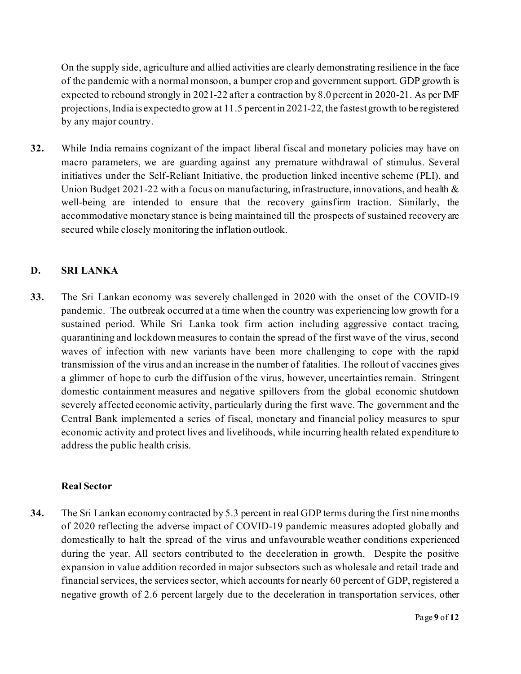On the supply side, agriculture and allied activities are clearly demonstrating resilience in the face of the pandemic with a normal monsoon, a bumper crop and government support. GDP growth is expected to rebound strongly in 2021-22 after a contraction by 8.0 percent in 2020-21. As per IMF projections, India is expected to grow at 11.5 percent in 2021-22, the fastest growth to be registered by any major country.

**32.** While India remains cognizant of the impact liberal fiscal and monetary policies may have on macro parameters, we are guarding against any premature withdrawal of stimulus. Several initiatives under the Self-Reliant Initiative, the production linked incentive scheme (PLI), and Union Budget 2021-22 with a focus on manufacturing, infrastructure, innovations, and health  $\&$ well-being are intended to ensure that the recovery gainsfirm traction. Similarly, the accommodative monetary stance is being maintained till the prospects of sustained recovery are secured while closely monitoring the inflation outlook.

#### **D. SRI LANKA**

**33.** The Sri Lankan economy was severely challenged in 2020 with the onset of the COVID-19 pandemic. The outbreak occurred at a time when the country was experiencing low growth for a sustained period. While Sri Lanka took firm action including aggressive contact tracing, quarantining and lockdown measures to contain the spread of the first wave of the virus, second waves of infection with new variants have been more challenging to cope with the rapid transmission of the virus and an increase in the number of fatalities. The rollout of vaccines gives a glimmer of hope to curb the diffusion of the virus, however, uncertainties remain. Stringent domestic containment measures and negative spillovers from the global economic shutdown severely affected economic activity, particularly during the first wave. The government and the Central Bank implemented a series of fiscal, monetary and financial policy measures to spur economic activity and protect lives and livelihoods, while incurring health related expenditure to address the public health crisis.

#### **Real Sector**

**34.** The Sri Lankan economy contracted by 5.3 percent in real GDP terms during the first nine months of 2020 reflecting the adverse impact of COVID-19 pandemic measures adopted globally and domestically to halt the spread of the virus and unfavourable weather conditions experienced during the year. All sectors contributed to the deceleration in growth. Despite the positive expansion in value addition recorded in major subsectors such as wholesale and retail trade and financial services, the services sector, which accounts for nearly 60 percent of GDP, registered a negative growth of 2.6 percent largely due to the deceleration in transportation services, other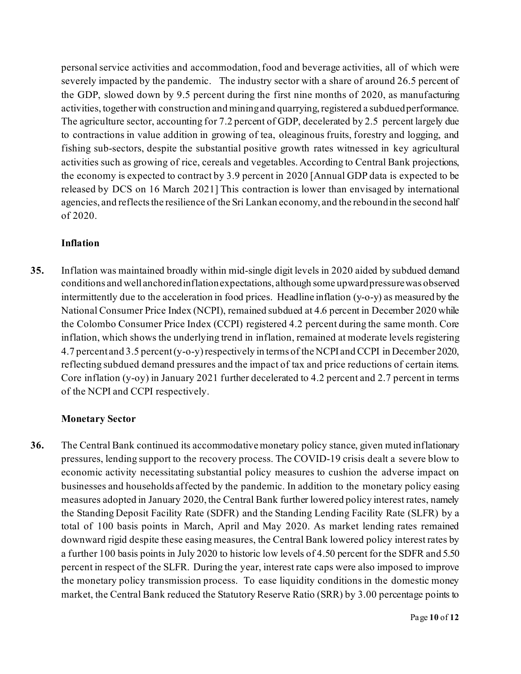personal service activities and accommodation, food and beverage activities, all of which were severely impacted by the pandemic. The industry sector with a share of around 26.5 percent of the GDP, slowed down by 9.5 percent during the first nine months of 2020, as manufacturing activities, together with construction and mining and quarrying, registered a subdued performance. The agriculture sector, accounting for 7.2 percent of GDP, decelerated by 2.5 percent largely due to contractions in value addition in growing of tea, oleaginous fruits, forestry and logging, and fishing sub-sectors, despite the substantial positive growth rates witnessed in key agricultural activities such as growing of rice, cereals and vegetables. According to Central Bank projections, the economy is expected to contract by 3.9 percent in 2020 [Annual GDP data is expected to be released by DCS on 16 March 2021] This contraction is lower than envisaged by international agencies, and reflects the resilience of the Sri Lankan economy, and the rebound in the second half of 2020.

#### **Inflation**

**35.** Inflation was maintained broadly within mid-single digit levels in 2020 aided by subdued demand conditions and well anchored inflation expectations, although some upward pressure was observed intermittently due to the acceleration in food prices. Headline inflation (y-o-y) as measured by the National Consumer Price Index (NCPI), remained subdued at 4.6 percent in December 2020 while the Colombo Consumer Price Index (CCPI) registered 4.2 percent during the same month. Core inflation, which shows the underlying trend in inflation, remained at moderate levels registering 4.7 percent and 3.5 percent (y-o-y) respectively in terms of the NCPI and CCPI in December 2020, reflecting subdued demand pressures and the impact of tax and price reductions of certain items. Core inflation (y-oy) in January 2021 further decelerated to 4.2 percent and 2.7 percent in terms of the NCPI and CCPI respectively.

# **Monetary Sector**

**36.** The Central Bank continued its accommodative monetary policy stance, given muted inflationary pressures, lending support to the recovery process. The COVID-19 crisis dealt a severe blow to economic activity necessitating substantial policy measures to cushion the adverse impact on businesses and households affected by the pandemic. In addition to the monetary policy easing measures adopted in January 2020, the Central Bank further lowered policy interest rates, namely the Standing Deposit Facility Rate (SDFR) and the Standing Lending Facility Rate (SLFR) by a total of 100 basis points in March, April and May 2020. As market lending rates remained downward rigid despite these easing measures, the Central Bank lowered policy interest rates by a further 100 basis points in July 2020 to historic low levels of 4.50 percent for the SDFR and 5.50 percent in respect of the SLFR. During the year, interest rate caps were also imposed to improve the monetary policy transmission process. To ease liquidity conditions in the domestic money market, the Central Bank reduced the Statutory Reserve Ratio (SRR) by 3.00 percentage points to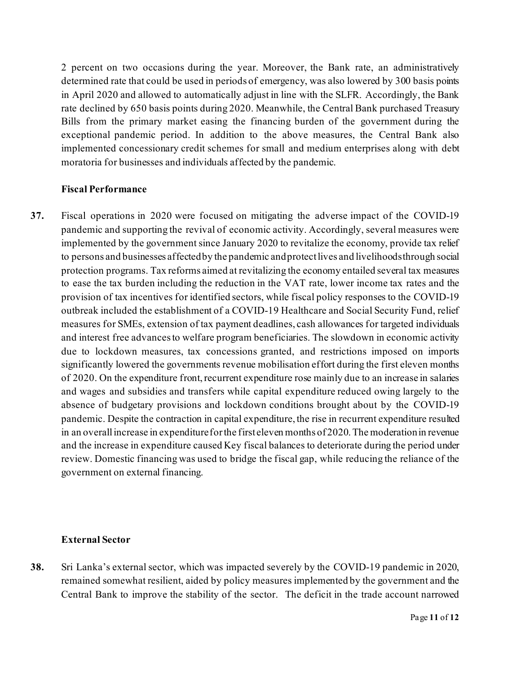2 percent on two occasions during the year. Moreover, the Bank rate, an administratively determined rate that could be used in periods of emergency, was also lowered by 300 basis points in April 2020 and allowed to automatically adjust in line with the SLFR. Accordingly, the Bank rate declined by 650 basis points during 2020. Meanwhile, the Central Bank purchased Treasury Bills from the primary market easing the financing burden of the government during the exceptional pandemic period. In addition to the above measures, the Central Bank also implemented concessionary credit schemes for small and medium enterprises along with debt moratoria for businesses and individuals affected by the pandemic.

#### **Fiscal Performance**

**37.** Fiscal operations in 2020 were focused on mitigating the adverse impact of the COVID-19 pandemic and supporting the revival of economic activity. Accordingly, several measures were implemented by the government since January 2020 to revitalize the economy, provide tax relief to persons and businesses affected by the pandemic and protect lives and livelihoods through social protection programs. Tax reforms aimed at revitalizing the economy entailed several tax measures to ease the tax burden including the reduction in the VAT rate, lower income tax rates and the provision of tax incentives for identified sectors, while fiscal policy responses to the COVID-19 outbreak included the establishment of a COVID-19 Healthcare and Social Security Fund, relief measures for SMEs, extension of tax payment deadlines, cash allowances for targeted individuals and interest free advances to welfare program beneficiaries. The slowdown in economic activity due to lockdown measures, tax concessions granted, and restrictions imposed on imports significantly lowered the governments revenue mobilisation effort during the first eleven months of 2020. On the expenditure front, recurrent expenditure rose mainly due to an increase in salaries and wages and subsidies and transfers while capital expenditure reduced owing largely to the absence of budgetary provisions and lockdown conditions brought about by the COVID-19 pandemic. Despite the contraction in capital expenditure, the rise in recurrent expenditure resulted in an overall increase in expenditure for the first eleven months of 2020. The moderation in revenue and the increase in expenditure caused Key fiscal balances to deteriorate during the period under review. Domestic financing was used to bridge the fiscal gap, while reducing the reliance of the government on external financing.

#### **External Sector**

**38.** Sri Lanka's external sector, which was impacted severely by the COVID-19 pandemic in 2020, remained somewhat resilient, aided by policy measures implemented by the government and the Central Bank to improve the stability of the sector. The deficit in the trade account narrowed